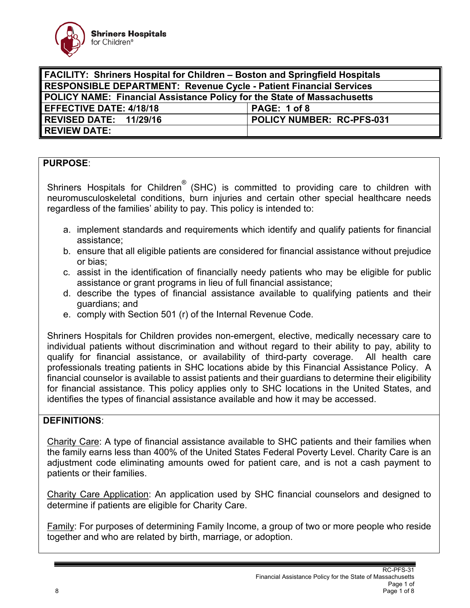

| <b>FACILITY: Shriners Hospital for Children - Boston and Springfield Hospitals</b> |                           |
|------------------------------------------------------------------------------------|---------------------------|
| <b>RESPONSIBLE DEPARTMENT: Revenue Cycle - Patient Financial Services</b>          |                           |
| <b>POLICY NAME: Financial Assistance Policy for the State of Massachusetts</b>     |                           |
| <b>EFFECTIVE DATE: 4/18/18</b>                                                     | PAGE: 1 of 8              |
| REVISED DATE: 11/29/16                                                             | POLICY NUMBER: RC-PFS-031 |
| <b>REVIEW DATE:</b>                                                                |                           |

## **PURPOSE**:

Shriners Hospitals for Children® (SHC) is committed to providing care to children with neuromusculoskeletal conditions, burn injuries and certain other special healthcare needs regardless of the families' ability to pay. This policy is intended to:

- a. implement standards and requirements which identify and qualify patients for financial assistance;
- b. ensure that all eligible patients are considered for financial assistance without prejudice or bias;
- c. assist in the identification of financially needy patients who may be eligible for public assistance or grant programs in lieu of full financial assistance;
- d. describe the types of financial assistance available to qualifying patients and their guardians; and
- e. comply with Section 501 (r) of the Internal Revenue Code.

Shriners Hospitals for Children provides non-emergent, elective, medically necessary care to individual patients without discrimination and without regard to their ability to pay, ability to qualify for financial assistance, or availability of third-party coverage. All health care professionals treating patients in SHC locations abide by this Financial Assistance Policy. A financial counselor is available to assist patients and their guardians to determine their eligibility for financial assistance. This policy applies only to SHC locations in the United States, and identifies the types of financial assistance available and how it may be accessed.

#### **DEFINITIONS**:

Charity Care: A type of financial assistance available to SHC patients and their families when the family earns less than 400% of the United States Federal Poverty Level. Charity Care is an adjustment code eliminating amounts owed for patient care, and is not a cash payment to patients or their families.

Charity Care Application: An application used by SHC financial counselors and designed to determine if patients are eligible for Charity Care.

Family: For purposes of determining Family Income, a group of two or more people who reside together and who are related by birth, marriage, or adoption.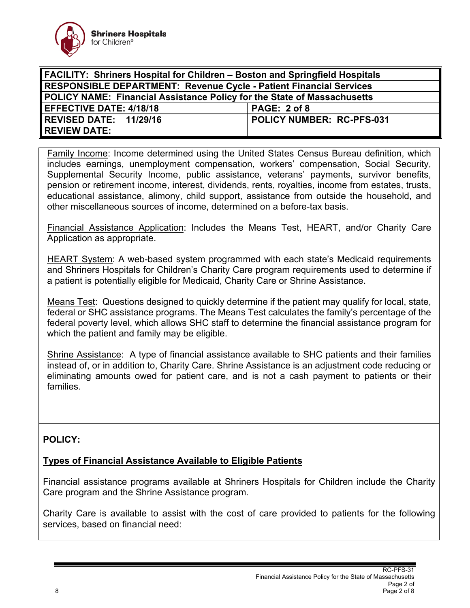

| <b>FACILITY: Shriners Hospital for Children - Boston and Springfield Hospitals</b> |                           |
|------------------------------------------------------------------------------------|---------------------------|
| <b>RESPONSIBLE DEPARTMENT: Revenue Cycle - Patient Financial Services</b>          |                           |
| POLICY NAME: Financial Assistance Policy for the State of Massachusetts            |                           |
| <b>EFFECTIVE DATE: 4/18/18</b>                                                     | PAGE: 2 of 8              |
| REVISED DATE: 11/29/16                                                             | POLICY NUMBER: RC-PFS-031 |
| <b>REVIEW DATE:</b>                                                                |                           |

Family Income: Income determined using the United States Census Bureau definition, which includes earnings, unemployment compensation, workers' compensation, Social Security, Supplemental Security Income, public assistance, veterans' payments, survivor benefits, pension or retirement income, interest, dividends, rents, royalties, income from estates, trusts, educational assistance, alimony, child support, assistance from outside the household, and other miscellaneous sources of income, determined on a before-tax basis.

Financial Assistance Application: Includes the Means Test, HEART, and/or Charity Care Application as appropriate.

HEART System: A web-based system programmed with each state's Medicaid requirements and Shriners Hospitals for Children's Charity Care program requirements used to determine if a patient is potentially eligible for Medicaid, Charity Care or Shrine Assistance.

Means Test: Questions designed to quickly determine if the patient may qualify for local, state, federal or SHC assistance programs. The Means Test calculates the family's percentage of the federal poverty level, which allows SHC staff to determine the financial assistance program for which the patient and family may be eligible.

Shrine Assistance: A type of financial assistance available to SHC patients and their families instead of, or in addition to, Charity Care. Shrine Assistance is an adjustment code reducing or eliminating amounts owed for patient care, and is not a cash payment to patients or their families.

# **POLICY:**

#### **Types of Financial Assistance Available to Eligible Patients**

Financial assistance programs available at Shriners Hospitals for Children include the Charity Care program and the Shrine Assistance program.

Charity Care is available to assist with the cost of care provided to patients for the following services, based on financial need: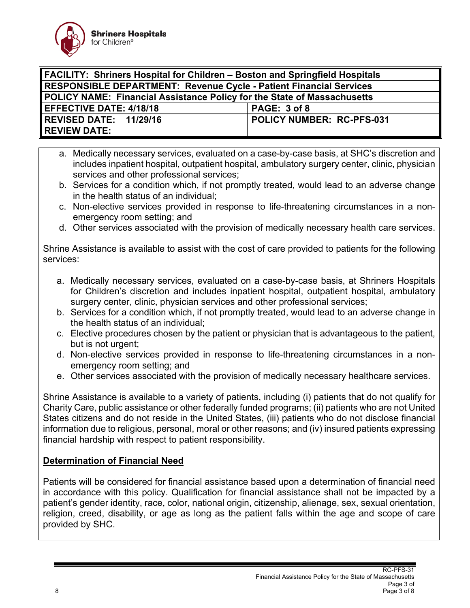

| <b>FACILITY: Shriners Hospital for Children – Boston and Springfield Hospitals</b> |                           |
|------------------------------------------------------------------------------------|---------------------------|
| <b>RESPONSIBLE DEPARTMENT: Revenue Cycle - Patient Financial Services</b>          |                           |
| <b>POLICY NAME: Financial Assistance Policy for the State of Massachusetts</b>     |                           |
| <b>EFFECTIVE DATE: 4/18/18</b>                                                     | PAGE: 3 of 8              |
| REVISED DATE: 11/29/16                                                             | POLICY NUMBER: RC-PFS-031 |
| <b>REVIEW DATE:</b>                                                                |                           |

- a. Medically necessary services, evaluated on a case-by-case basis, at SHC's discretion and includes inpatient hospital, outpatient hospital, ambulatory surgery center, clinic, physician services and other professional services;
- b. Services for a condition which, if not promptly treated, would lead to an adverse change in the health status of an individual;
- c. Non-elective services provided in response to life-threatening circumstances in a nonemergency room setting; and
- d. Other services associated with the provision of medically necessary health care services.

Shrine Assistance is available to assist with the cost of care provided to patients for the following services:

- a. Medically necessary services, evaluated on a case-by-case basis, at Shriners Hospitals for Children's discretion and includes inpatient hospital, outpatient hospital, ambulatory surgery center, clinic, physician services and other professional services;
- b. Services for a condition which, if not promptly treated, would lead to an adverse change in the health status of an individual;
- c. Elective procedures chosen by the patient or physician that is advantageous to the patient, but is not urgent;
- d. Non-elective services provided in response to life-threatening circumstances in a nonemergency room setting; and
- e. Other services associated with the provision of medically necessary healthcare services.

Shrine Assistance is available to a variety of patients, including (i) patients that do not qualify for Charity Care, public assistance or other federally funded programs; (ii) patients who are not United States citizens and do not reside in the United States, (iii) patients who do not disclose financial information due to religious, personal, moral or other reasons; and (iv) insured patients expressing financial hardship with respect to patient responsibility.

# **Determination of Financial Need**

Patients will be considered for financial assistance based upon a determination of financial need in accordance with this policy. Qualification for financial assistance shall not be impacted by a patient's gender identity, race, color, national origin, citizenship, alienage, sex, sexual orientation, religion, creed, disability, or age as long as the patient falls within the age and scope of care provided by SHC.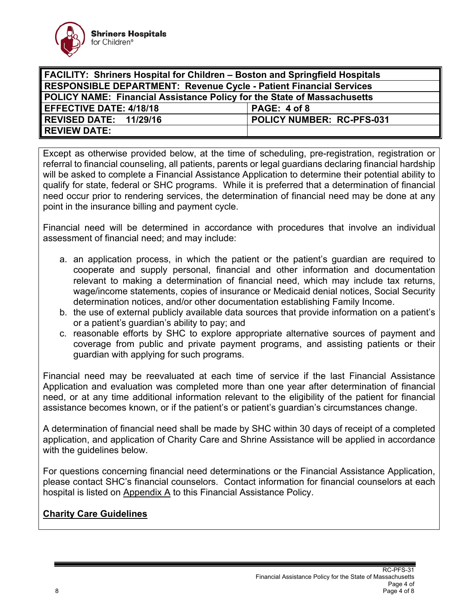

| <b>FACILITY: Shriners Hospital for Children - Boston and Springfield Hospitals</b> |                           |
|------------------------------------------------------------------------------------|---------------------------|
| <b>RESPONSIBLE DEPARTMENT: Revenue Cycle - Patient Financial Services</b>          |                           |
| POLICY NAME: Financial Assistance Policy for the State of Massachusetts            |                           |
| <b>EFFECTIVE DATE: 4/18/18</b>                                                     | PAGE: 4 of 8              |
| REVISED DATE: 11/29/16                                                             | POLICY NUMBER: RC-PFS-031 |
| <b>REVIEW DATE:</b>                                                                |                           |

Except as otherwise provided below, at the time of scheduling, pre-registration, registration or referral to financial counseling, all patients, parents or legal guardians declaring financial hardship will be asked to complete a Financial Assistance Application to determine their potential ability to qualify for state, federal or SHC programs. While it is preferred that a determination of financial need occur prior to rendering services, the determination of financial need may be done at any point in the insurance billing and payment cycle.

Financial need will be determined in accordance with procedures that involve an individual assessment of financial need; and may include:

- a. an application process, in which the patient or the patient's guardian are required to cooperate and supply personal, financial and other information and documentation relevant to making a determination of financial need, which may include tax returns, wage/income statements, copies of insurance or Medicaid denial notices, Social Security determination notices, and/or other documentation establishing Family Income.
- b. the use of external publicly available data sources that provide information on a patient's or a patient's guardian's ability to pay; and
- c. reasonable efforts by SHC to explore appropriate alternative sources of payment and coverage from public and private payment programs, and assisting patients or their guardian with applying for such programs.

Financial need may be reevaluated at each time of service if the last Financial Assistance Application and evaluation was completed more than one year after determination of financial need, or at any time additional information relevant to the eligibility of the patient for financial assistance becomes known, or if the patient's or patient's guardian's circumstances change.

A determination of financial need shall be made by SHC within 30 days of receipt of a completed application, and application of Charity Care and Shrine Assistance will be applied in accordance with the guidelines below.

For questions concerning financial need determinations or the Financial Assistance Application, please contact SHC's financial counselors. Contact information for financial counselors at each hospital is listed on Appendix A to this Financial Assistance Policy.

# **Charity Care Guidelines**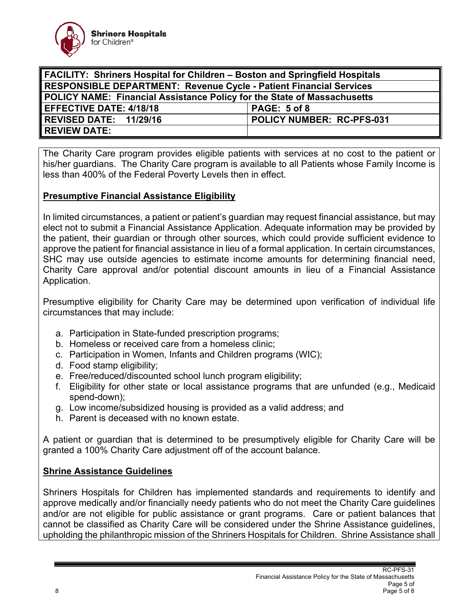

| <b>FACILITY: Shriners Hospital for Children - Boston and Springfield Hospitals</b> |                           |
|------------------------------------------------------------------------------------|---------------------------|
| <b>RESPONSIBLE DEPARTMENT: Revenue Cycle - Patient Financial Services</b>          |                           |
| POLICY NAME: Financial Assistance Policy for the State of Massachusetts            |                           |
| <b>EFFECTIVE DATE: 4/18/18</b>                                                     | PAGE: 5 of 8              |
| REVISED DATE: 11/29/16                                                             | POLICY NUMBER: RC-PFS-031 |
| <b>REVIEW DATE:</b>                                                                |                           |

The Charity Care program provides eligible patients with services at no cost to the patient or his/her guardians. The Charity Care program is available to all Patients whose Family Income is less than 400% of the Federal Poverty Levels then in effect.

#### **Presumptive Financial Assistance Eligibility**

In limited circumstances, a patient or patient's guardian may request financial assistance, but may elect not to submit a Financial Assistance Application. Adequate information may be provided by the patient, their guardian or through other sources, which could provide sufficient evidence to approve the patient for financial assistance in lieu of a formal application. In certain circumstances, SHC may use outside agencies to estimate income amounts for determining financial need, Charity Care approval and/or potential discount amounts in lieu of a Financial Assistance Application.

Presumptive eligibility for Charity Care may be determined upon verification of individual life circumstances that may include:

- a. Participation in State-funded prescription programs;
- b. Homeless or received care from a homeless clinic;
- c. Participation in Women, Infants and Children programs (WIC);
- d. Food stamp eligibility;
- e. Free/reduced/discounted school lunch program eligibility;
- f. Eligibility for other state or local assistance programs that are unfunded (e.g., Medicaid spend-down);
- g. Low income/subsidized housing is provided as a valid address; and
- h. Parent is deceased with no known estate.

A patient or guardian that is determined to be presumptively eligible for Charity Care will be granted a 100% Charity Care adjustment off of the account balance.

#### **Shrine Assistance Guidelines**

Shriners Hospitals for Children has implemented standards and requirements to identify and approve medically and/or financially needy patients who do not meet the Charity Care guidelines and/or are not eligible for public assistance or grant programs. Care or patient balances that cannot be classified as Charity Care will be considered under the Shrine Assistance guidelines, upholding the philanthropic mission of the Shriners Hospitals for Children. Shrine Assistance shall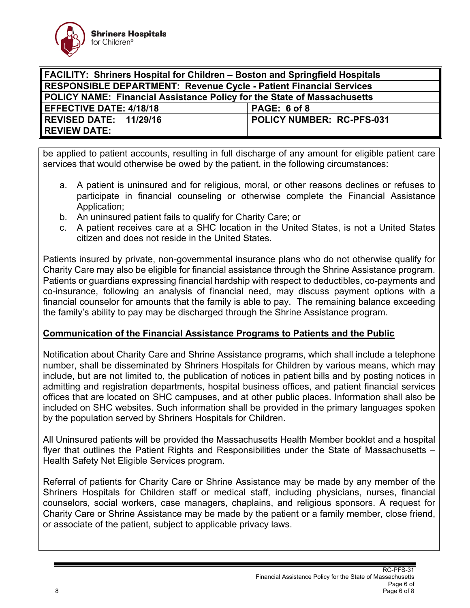

| <b>FACILITY: Shriners Hospital for Children - Boston and Springfield Hospitals</b> |                           |
|------------------------------------------------------------------------------------|---------------------------|
| <b>RESPONSIBLE DEPARTMENT: Revenue Cycle - Patient Financial Services</b>          |                           |
| POLICY NAME: Financial Assistance Policy for the State of Massachusetts            |                           |
| <b>EFFECTIVE DATE: 4/18/18</b>                                                     | PAGE: 6 of 8              |
| REVISED DATE: 11/29/16                                                             | POLICY NUMBER: RC-PFS-031 |
| <b>REVIEW DATE:</b>                                                                |                           |

be applied to patient accounts, resulting in full discharge of any amount for eligible patient care services that would otherwise be owed by the patient, in the following circumstances:

- a. A patient is uninsured and for religious, moral, or other reasons declines or refuses to participate in financial counseling or otherwise complete the Financial Assistance Application;
- b. An uninsured patient fails to qualify for Charity Care; or
- c. A patient receives care at a SHC location in the United States, is not a United States citizen and does not reside in the United States.

Patients insured by private, non-governmental insurance plans who do not otherwise qualify for Charity Care may also be eligible for financial assistance through the Shrine Assistance program. Patients or guardians expressing financial hardship with respect to deductibles, co-payments and co-insurance, following an analysis of financial need, may discuss payment options with a financial counselor for amounts that the family is able to pay. The remaining balance exceeding the family's ability to pay may be discharged through the Shrine Assistance program.

#### **Communication of the Financial Assistance Programs to Patients and the Public**

Notification about Charity Care and Shrine Assistance programs, which shall include a telephone number, shall be disseminated by Shriners Hospitals for Children by various means, which may include, but are not limited to, the publication of notices in patient bills and by posting notices in admitting and registration departments, hospital business offices, and patient financial services offices that are located on SHC campuses, and at other public places. Information shall also be included on SHC websites. Such information shall be provided in the primary languages spoken by the population served by Shriners Hospitals for Children.

All Uninsured patients will be provided the Massachusetts Health Member booklet and a hospital flyer that outlines the Patient Rights and Responsibilities under the State of Massachusetts – Health Safety Net Eligible Services program.

Referral of patients for Charity Care or Shrine Assistance may be made by any member of the Shriners Hospitals for Children staff or medical staff, including physicians, nurses, financial counselors, social workers, case managers, chaplains, and religious sponsors. A request for Charity Care or Shrine Assistance may be made by the patient or a family member, close friend, or associate of the patient, subject to applicable privacy laws.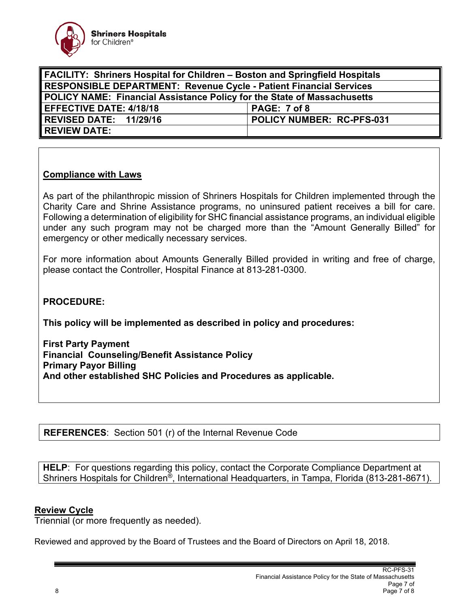

| <b>FACILITY: Shriners Hospital for Children - Boston and Springfield Hospitals</b> |                           |
|------------------------------------------------------------------------------------|---------------------------|
| <b>RESPONSIBLE DEPARTMENT: Revenue Cycle - Patient Financial Services</b>          |                           |
| <b>POLICY NAME: Financial Assistance Policy for the State of Massachusetts</b>     |                           |
| <b>EFFECTIVE DATE: 4/18/18</b>                                                     | PAGE: 7 of 8              |
| REVISED DATE: 11/29/16                                                             | POLICY NUMBER: RC-PFS-031 |
| <b>REVIEW DATE:</b>                                                                |                           |

## **Compliance with Laws**

As part of the philanthropic mission of Shriners Hospitals for Children implemented through the Charity Care and Shrine Assistance programs, no uninsured patient receives a bill for care. Following a determination of eligibility for SHC financial assistance programs, an individual eligible under any such program may not be charged more than the "Amount Generally Billed" for emergency or other medically necessary services.

For more information about Amounts Generally Billed provided in writing and free of charge, please contact the Controller, Hospital Finance at 813-281-0300.

### **PROCEDURE:**

**This policy will be implemented as described in policy and procedures:** 

**First Party Payment Financial Counseling/Benefit Assistance Policy Primary Payor Billing And other established SHC Policies and Procedures as applicable.** 

**REFERENCES**: Section 501 (r) of the Internal Revenue Code

**HELP**: For questions regarding this policy, contact the Corporate Compliance Department at Shriners Hospitals for Children®, International Headquarters, in Tampa, Florida (813-281-8671).

#### **Review Cycle**

Triennial (or more frequently as needed).

Reviewed and approved by the Board of Trustees and the Board of Directors on April 18, 2018.